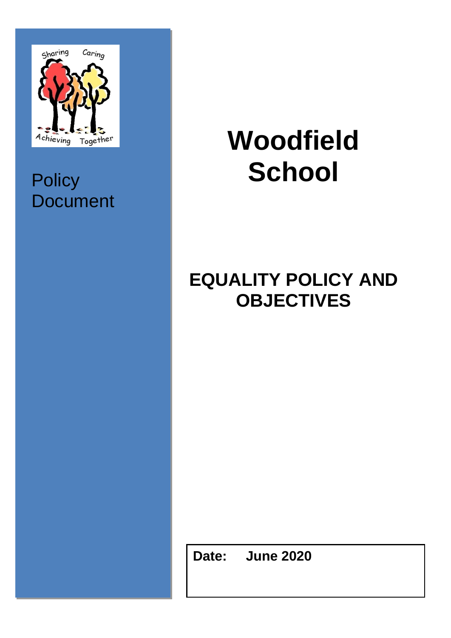

## **Policy Document**

# **Woodfield School**

## **EQUALITY POLICY AND OBJECTIVES**

**Date: June 2020**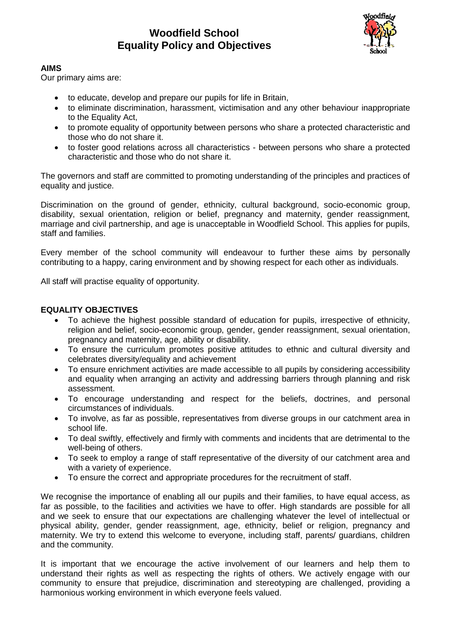### **Woodfield School Equality Policy and Objectives**



#### **AIMS**

Our primary aims are:

- to educate, develop and prepare our pupils for life in Britain,
- to eliminate discrimination, harassment, victimisation and any other behaviour inappropriate to the Equality Act,
- to promote equality of opportunity between persons who share a protected characteristic and those who do not share it.
- to foster good relations across all characteristics between persons who share a protected characteristic and those who do not share it.

The governors and staff are committed to promoting understanding of the principles and practices of equality and justice.

Discrimination on the ground of gender, ethnicity, cultural background, socio-economic group, disability, sexual orientation, religion or belief, pregnancy and maternity, gender reassignment, marriage and civil partnership, and age is unacceptable in Woodfield School. This applies for pupils, staff and families.

Every member of the school community will endeavour to further these aims by personally contributing to a happy, caring environment and by showing respect for each other as individuals.

All staff will practise equality of opportunity.

#### **EQUALITY OBJECTIVES**

- To achieve the highest possible standard of education for pupils, irrespective of ethnicity, religion and belief, socio-economic group, gender, gender reassignment, sexual orientation, pregnancy and maternity, age, ability or disability.
- To ensure the curriculum promotes positive attitudes to ethnic and cultural diversity and celebrates diversity/equality and achievement
- To ensure enrichment activities are made accessible to all pupils by considering accessibility and equality when arranging an activity and addressing barriers through planning and risk assessment.
- To encourage understanding and respect for the beliefs, doctrines, and personal circumstances of individuals.
- To involve, as far as possible, representatives from diverse groups in our catchment area in school life.
- To deal swiftly, effectively and firmly with comments and incidents that are detrimental to the well-being of others.
- To seek to employ a range of staff representative of the diversity of our catchment area and with a variety of experience.
- To ensure the correct and appropriate procedures for the recruitment of staff.

We recognise the importance of enabling all our pupils and their families, to have equal access, as far as possible, to the facilities and activities we have to offer. High standards are possible for all and we seek to ensure that our expectations are challenging whatever the level of intellectual or physical ability, gender, gender reassignment, age, ethnicity, belief or religion, pregnancy and maternity. We try to extend this welcome to everyone, including staff, parents/ guardians, children and the community.

It is important that we encourage the active involvement of our learners and help them to understand their rights as well as respecting the rights of others. We actively engage with our community to ensure that prejudice, discrimination and stereotyping are challenged, providing a harmonious working environment in which everyone feels valued.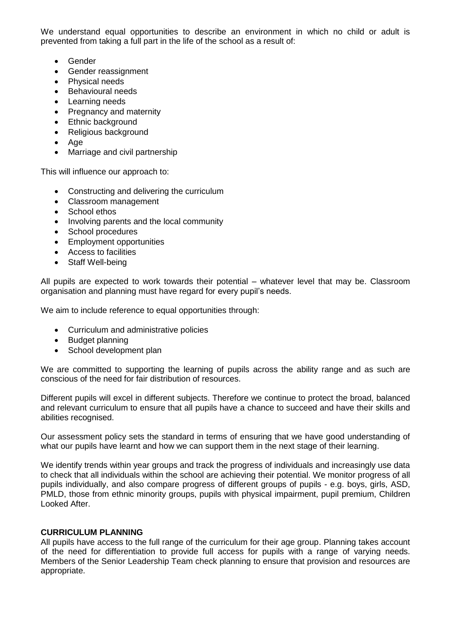We understand equal opportunities to describe an environment in which no child or adult is prevented from taking a full part in the life of the school as a result of:

- Gender
- Gender reassignment
- Physical needs
- Behavioural needs
- Learning needs
- Pregnancy and maternity
- Ethnic background
- Religious background
- $\bullet$  Age
- Marriage and civil partnership

This will influence our approach to:

- Constructing and delivering the curriculum
- Classroom management
- School ethos
- Involving parents and the local community
- School procedures
- Employment opportunities
- Access to facilities
- Staff Well-being

All pupils are expected to work towards their potential – whatever level that may be. Classroom organisation and planning must have regard for every pupil's needs.

We aim to include reference to equal opportunities through:

- Curriculum and administrative policies
- Budget planning
- School development plan

We are committed to supporting the learning of pupils across the ability range and as such are conscious of the need for fair distribution of resources.

Different pupils will excel in different subjects. Therefore we continue to protect the broad, balanced and relevant curriculum to ensure that all pupils have a chance to succeed and have their skills and abilities recognised.

Our assessment policy sets the standard in terms of ensuring that we have good understanding of what our pupils have learnt and how we can support them in the next stage of their learning.

We identify trends within year groups and track the progress of individuals and increasingly use data to check that all individuals within the school are achieving their potential. We monitor progress of all pupils individually, and also compare progress of different groups of pupils - e.g. boys, girls, ASD, PMLD, those from ethnic minority groups, pupils with physical impairment, pupil premium, Children Looked After.

#### **CURRICULUM PLANNING**

All pupils have access to the full range of the curriculum for their age group. Planning takes account of the need for differentiation to provide full access for pupils with a range of varying needs. Members of the Senior Leadership Team check planning to ensure that provision and resources are appropriate.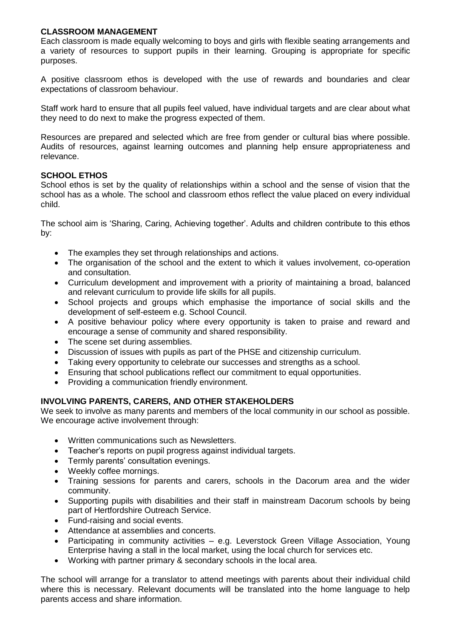#### **CLASSROOM MANAGEMENT**

Each classroom is made equally welcoming to boys and girls with flexible seating arrangements and a variety of resources to support pupils in their learning. Grouping is appropriate for specific purposes.

A positive classroom ethos is developed with the use of rewards and boundaries and clear expectations of classroom behaviour.

Staff work hard to ensure that all pupils feel valued, have individual targets and are clear about what they need to do next to make the progress expected of them.

Resources are prepared and selected which are free from gender or cultural bias where possible. Audits of resources, against learning outcomes and planning help ensure appropriateness and relevance.

#### **SCHOOL ETHOS**

School ethos is set by the quality of relationships within a school and the sense of vision that the school has as a whole. The school and classroom ethos reflect the value placed on every individual child.

The school aim is 'Sharing, Caring, Achieving together'. Adults and children contribute to this ethos by:

- The examples they set through relationships and actions.
- The organisation of the school and the extent to which it values involvement, co-operation and consultation.
- Curriculum development and improvement with a priority of maintaining a broad, balanced and relevant curriculum to provide life skills for all pupils.
- School projects and groups which emphasise the importance of social skills and the development of self-esteem e.g. School Council.
- A positive behaviour policy where every opportunity is taken to praise and reward and encourage a sense of community and shared responsibility.
- The scene set during assemblies.
- Discussion of issues with pupils as part of the PHSE and citizenship curriculum.
- Taking every opportunity to celebrate our successes and strengths as a school.
- Ensuring that school publications reflect our commitment to equal opportunities.
- Providing a communication friendly environment.

#### **INVOLVING PARENTS, CARERS, AND OTHER STAKEHOLDERS**

We seek to involve as many parents and members of the local community in our school as possible. We encourage active involvement through:

- Written communications such as Newsletters.
- Teacher's reports on pupil progress against individual targets.
- **•** Termly parents' consultation evenings.
- Weekly coffee mornings.
- Training sessions for parents and carers, schools in the Dacorum area and the wider community.
- Supporting pupils with disabilities and their staff in mainstream Dacorum schools by being part of Hertfordshire Outreach Service.
- Fund-raising and social events.
- Attendance at assemblies and concerts.
- Participating in community activities e.g. Leverstock Green Village Association, Young Enterprise having a stall in the local market, using the local church for services etc.
- Working with partner primary & secondary schools in the local area.

The school will arrange for a translator to attend meetings with parents about their individual child where this is necessary. Relevant documents will be translated into the home language to help parents access and share information.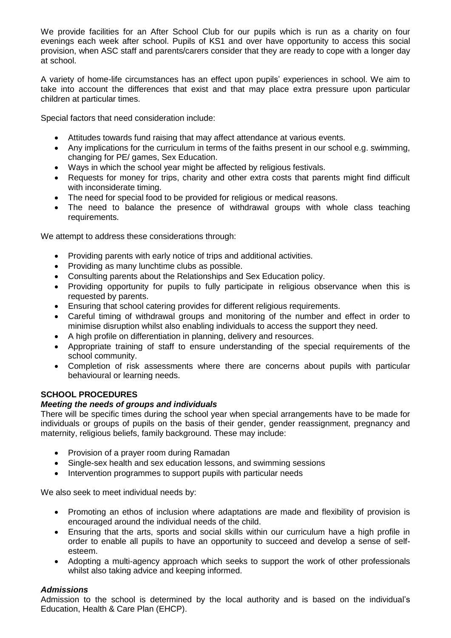We provide facilities for an After School Club for our pupils which is run as a charity on four evenings each week after school. Pupils of KS1 and over have opportunity to access this social provision, when ASC staff and parents/carers consider that they are ready to cope with a longer day at school.

A variety of home-life circumstances has an effect upon pupils' experiences in school. We aim to take into account the differences that exist and that may place extra pressure upon particular children at particular times.

Special factors that need consideration include:

- Attitudes towards fund raising that may affect attendance at various events.
- Any implications for the curriculum in terms of the faiths present in our school e.g. swimming, changing for PE/ games, Sex Education.
- Ways in which the school year might be affected by religious festivals.
- Requests for money for trips, charity and other extra costs that parents might find difficult with inconsiderate timing.
- The need for special food to be provided for religious or medical reasons.
- The need to balance the presence of withdrawal groups with whole class teaching requirements.

We attempt to address these considerations through:

- Providing parents with early notice of trips and additional activities.
- Providing as many lunchtime clubs as possible.
- Consulting parents about the Relationships and Sex Education policy.
- Providing opportunity for pupils to fully participate in religious observance when this is requested by parents.
- Ensuring that school catering provides for different religious requirements.
- Careful timing of withdrawal groups and monitoring of the number and effect in order to minimise disruption whilst also enabling individuals to access the support they need.
- A high profile on differentiation in planning, delivery and resources.
- Appropriate training of staff to ensure understanding of the special requirements of the school community.
- Completion of risk assessments where there are concerns about pupils with particular behavioural or learning needs.

#### **SCHOOL PROCEDURES**

#### *Meeting the needs of groups and individuals*

There will be specific times during the school year when special arrangements have to be made for individuals or groups of pupils on the basis of their gender, gender reassignment, pregnancy and maternity, religious beliefs, family background. These may include:

- Provision of a prayer room during Ramadan
- Single-sex health and sex education lessons, and swimming sessions
- Intervention programmes to support pupils with particular needs

We also seek to meet individual needs by:

- Promoting an ethos of inclusion where adaptations are made and flexibility of provision is encouraged around the individual needs of the child.
- Ensuring that the arts, sports and social skills within our curriculum have a high profile in order to enable all pupils to have an opportunity to succeed and develop a sense of selfesteem.
- Adopting a multi-agency approach which seeks to support the work of other professionals whilst also taking advice and keeping informed.

#### *Admissions*

Admission to the school is determined by the local authority and is based on the individual's Education, Health & Care Plan (EHCP).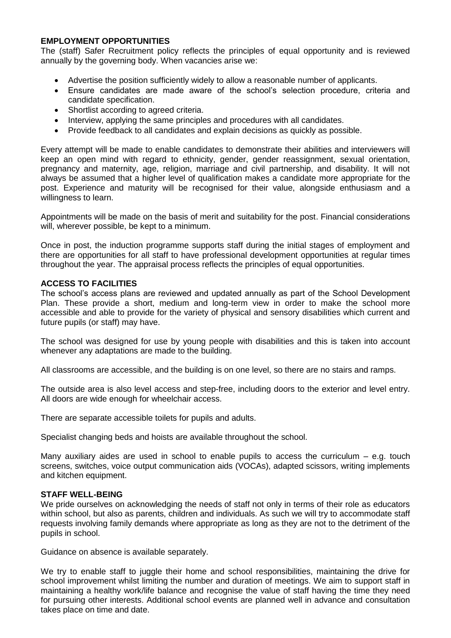#### **EMPLOYMENT OPPORTUNITIES**

The (staff) Safer Recruitment policy reflects the principles of equal opportunity and is reviewed annually by the governing body. When vacancies arise we:

- Advertise the position sufficiently widely to allow a reasonable number of applicants.
- Ensure candidates are made aware of the school's selection procedure, criteria and candidate specification.
- Shortlist according to agreed criteria.
- Interview, applying the same principles and procedures with all candidates.
- Provide feedback to all candidates and explain decisions as quickly as possible.

Every attempt will be made to enable candidates to demonstrate their abilities and interviewers will keep an open mind with regard to ethnicity, gender, gender reassignment, sexual orientation, pregnancy and maternity, age, religion, marriage and civil partnership, and disability. It will not always be assumed that a higher level of qualification makes a candidate more appropriate for the post. Experience and maturity will be recognised for their value, alongside enthusiasm and a willingness to learn.

Appointments will be made on the basis of merit and suitability for the post. Financial considerations will, wherever possible, be kept to a minimum.

Once in post, the induction programme supports staff during the initial stages of employment and there are opportunities for all staff to have professional development opportunities at regular times throughout the year. The appraisal process reflects the principles of equal opportunities.

#### **ACCESS TO FACILITIES**

The school's access plans are reviewed and updated annually as part of the School Development Plan. These provide a short, medium and long-term view in order to make the school more accessible and able to provide for the variety of physical and sensory disabilities which current and future pupils (or staff) may have.

The school was designed for use by young people with disabilities and this is taken into account whenever any adaptations are made to the building.

All classrooms are accessible, and the building is on one level, so there are no stairs and ramps.

The outside area is also level access and step-free, including doors to the exterior and level entry. All doors are wide enough for wheelchair access.

There are separate accessible toilets for pupils and adults.

Specialist changing beds and hoists are available throughout the school.

Many auxiliary aides are used in school to enable pupils to access the curriculum – e.g. touch screens, switches, voice output communication aids (VOCAs), adapted scissors, writing implements and kitchen equipment.

#### **STAFF WELL-BEING**

We pride ourselves on acknowledging the needs of staff not only in terms of their role as educators within school, but also as parents, children and individuals. As such we will try to accommodate staff requests involving family demands where appropriate as long as they are not to the detriment of the pupils in school.

Guidance on absence is available separately.

We try to enable staff to juggle their home and school responsibilities, maintaining the drive for school improvement whilst limiting the number and duration of meetings. We aim to support staff in maintaining a healthy work/life balance and recognise the value of staff having the time they need for pursuing other interests. Additional school events are planned well in advance and consultation takes place on time and date.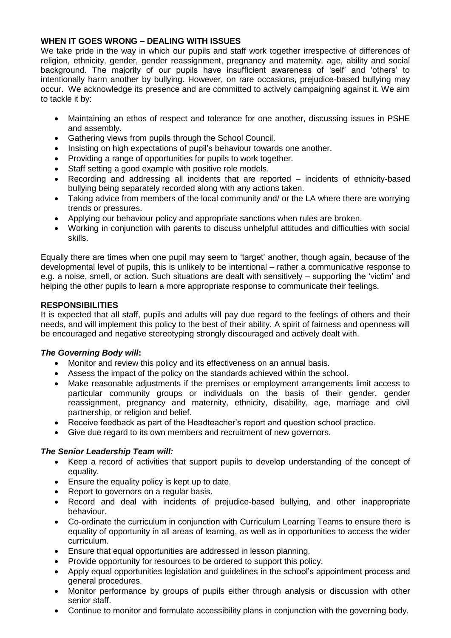#### **WHEN IT GOES WRONG – DEALING WITH ISSUES**

We take pride in the way in which our pupils and staff work together irrespective of differences of religion, ethnicity, gender, gender reassignment, pregnancy and maternity, age, ability and social background. The majority of our pupils have insufficient awareness of 'self' and 'others' to intentionally harm another by bullying. However, on rare occasions, prejudice-based bullying may occur. We acknowledge its presence and are committed to actively campaigning against it. We aim to tackle it by:

- Maintaining an ethos of respect and tolerance for one another, discussing issues in PSHE and assembly.
- Gathering views from pupils through the School Council.
- Insisting on high expectations of pupil's behaviour towards one another.
- Providing a range of opportunities for pupils to work together.
- Staff setting a good example with positive role models.
- Recording and addressing all incidents that are reported incidents of ethnicity-based bullying being separately recorded along with any actions taken.
- Taking advice from members of the local community and/ or the LA where there are worrying trends or pressures.
- Applying our behaviour policy and appropriate sanctions when rules are broken.
- Working in conjunction with parents to discuss unhelpful attitudes and difficulties with social skills.

Equally there are times when one pupil may seem to 'target' another, though again, because of the developmental level of pupils, this is unlikely to be intentional – rather a communicative response to e.g. a noise, smell, or action. Such situations are dealt with sensitively – supporting the 'victim' and helping the other pupils to learn a more appropriate response to communicate their feelings.

#### **RESPONSIBILITIES**

It is expected that all staff, pupils and adults will pay due regard to the feelings of others and their needs, and will implement this policy to the best of their ability. A spirit of fairness and openness will be encouraged and negative stereotyping strongly discouraged and actively dealt with.

#### *The Governing Body will***:**

- Monitor and review this policy and its effectiveness on an annual basis.
- Assess the impact of the policy on the standards achieved within the school.
- Make reasonable adjustments if the premises or employment arrangements limit access to particular community groups or individuals on the basis of their gender, gender reassignment, pregnancy and maternity, ethnicity, disability, age, marriage and civil partnership, or religion and belief.
- Receive feedback as part of the Headteacher's report and question school practice.
- Give due regard to its own members and recruitment of new governors.

#### *The Senior Leadership Team will:*

- Keep a record of activities that support pupils to develop understanding of the concept of equality.
- Ensure the equality policy is kept up to date.
- Report to governors on a regular basis.
- Record and deal with incidents of prejudice-based bullying, and other inappropriate behaviour.
- Co-ordinate the curriculum in conjunction with Curriculum Learning Teams to ensure there is equality of opportunity in all areas of learning, as well as in opportunities to access the wider curriculum.
- Ensure that equal opportunities are addressed in lesson planning.
- Provide opportunity for resources to be ordered to support this policy.
- Apply equal opportunities legislation and guidelines in the school's appointment process and general procedures.
- Monitor performance by groups of pupils either through analysis or discussion with other senior staff.
- Continue to monitor and formulate accessibility plans in conjunction with the governing body.